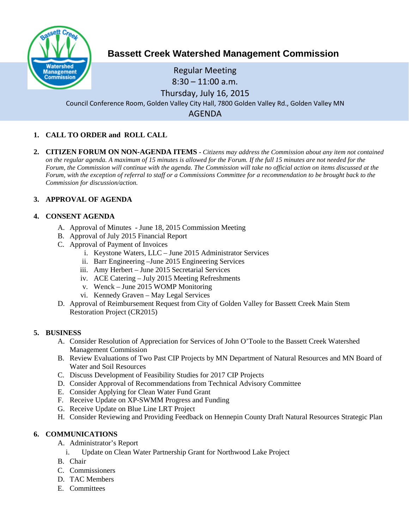

# **Bassett Creek Watershed Management Commission**

Regular Meeting  $8:30 - 11:00$  a.m. Thursday, July 16, 2015 Council Conference Room, Golden Valley City Hall, 7800 Golden Valley Rd., Golden Valley MN AGENDA

# **1. CALL TO ORDER and ROLL CALL**

**2. CITIZEN FORUM ON NON-AGENDA ITEMS -** *Citizens may address the Commission about any item not contained on the regular agenda. A maximum of 15 minutes is allowed for the Forum. If the full 15 minutes are not needed for the Forum, the Commission will continue with the agenda. The Commission will take no official action on items discussed at the Forum, with the exception of referral to staff or a Commissions Committee for a recommendation to be brought back to the Commission for discussion/action.*

# **3. APPROVAL OF AGENDA**

#### **4. CONSENT AGENDA**

- A. Approval of Minutes June 18, 2015 Commission Meeting
- B. Approval of July 2015 Financial Report
- C. Approval of Payment of Invoices
	- i. Keystone Waters, LLC June 2015 Administrator Services
	- ii. Barr Engineering –June 2015 Engineering Services
	- iii. Amy Herbert June 2015 Secretarial Services
	- iv. ACE Catering July 2015 Meeting Refreshments
	- v. Wenck June 2015 WOMP Monitoring
	- vi. Kennedy Graven May Legal Services
- D. Approval of Reimbursement Request from City of Golden Valley for Bassett Creek Main Stem Restoration Project (CR2015)

#### **5. BUSINESS**

- A. Consider Resolution of Appreciation for Services of John O'Toole to the Bassett Creek Watershed Management Commission
- B. Review Evaluations of Two Past CIP Projects by MN Department of Natural Resources and MN Board of Water and Soil Resources
- C. Discuss Development of Feasibility Studies for 2017 CIP Projects
- D. Consider Approval of Recommendations from Technical Advisory Committee
- E. Consider Applying for Clean Water Fund Grant
- F. Receive Update on XP-SWMM Progress and Funding
- G. Receive Update on Blue Line LRT Project
- H. Consider Reviewing and Providing Feedback on Hennepin County Draft Natural Resources Strategic Plan

# **6. COMMUNICATIONS**

- A. Administrator's Report
	- i. Update on Clean Water Partnership Grant for Northwood Lake Project
- B. Chair
- C. Commissioners
- D. TAC Members
- E. Committees